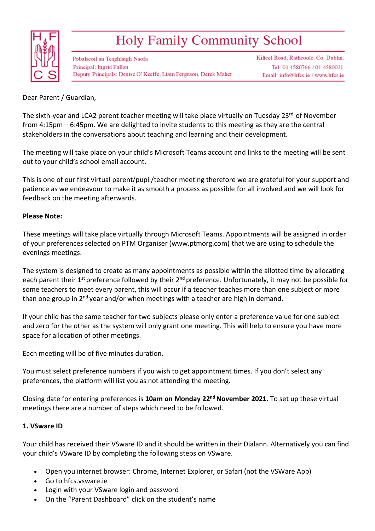

# Holy Family Community School

Pobalscoil an Teaghlaigh Naofa **Principal: Ingrid Fallon** Deputy Principals: Denise O' Keeffe, Liam Ferguson, Derek Maher Kilteel Road, Rathcoole, Co. Dublin. Tel: 01 4580766 / 01 4580031 Email: info@hfcs.ie / www.hfcs.ie

Dear Parent / Guardian,

The sixth-year and LCA2 parent teacher meeting will take place virtually on Tuesday 23<sup>rd</sup> of November from 4:15pm – 6:45pm. We are delighted to invite students to this meeting as they are the central stakeholders in the conversations about teaching and learning and their development.

The meeting will take place on your child's Microsoft Teams account and links to the meeting will be sent out to your child's school email account.

This is one of our first virtual parent/pupil/teacher meeting therefore we are grateful for your support and patience as we endeavour to make it as smooth a process as possible for all involved and we will look for feedback on the meeting afterwards.

#### **Please Note:**

These meetings will take place virtually through Microsoft Teams. Appointments will be assigned in order of your preferences selected on PTM Organiser (www.ptmorg.com) that we are using to schedule the evenings meetings.

The system is designed to create as many appointments as possible within the allotted time by allocating each parent their 1<sup>st</sup> preference followed by their 2<sup>nd</sup> preference. Unfortunately, it may not be possible for some teachers to meet every parent, this will occur if a teacher teaches more than one subject or more than one group in  $2^{nd}$  year and/or when meetings with a teacher are high in demand.

If your child has the same teacher for two subjects please only enter a preference value for one subject and zero for the other as the system will only grant one meeting. This will help to ensure you have more space for allocation of other meetings.

Each meeting will be of five minutes duration.

You must select preference numbers if you wish to get appointment times. If you don't select any preferences, the platform will list you as not attending the meeting.

Closing date for entering preferences is **10am on Monday 22nd November 2021**. To set up these virtual meetings there are a number of steps which need to be followed.

### **1. VSware ID**

Your child has received their VSware ID and it should be written in their Dialann. Alternatively you can find your child's VSware ID by completing the following steps on VSware.

- Open you internet browser: Chrome, Internet Explorer, or Safari (not the VSWare App)
- Go to hfcs.vsware.ie
- Login with your VSware login and password
- On the "Parent Dashboard" click on the student's name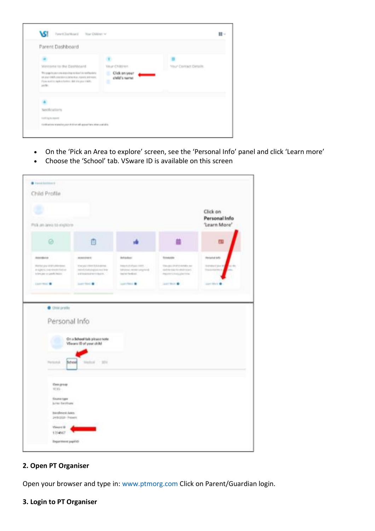

- On the 'Pick an Area to explore' screen, see the 'Personal Info' panel and click 'Learn more'
- Choose the 'School' tab. VSware ID is available on this screen



### **2. Open PT Organiser**

Open your browser and type in: www.ptmorg.com Click on Parent/Guardian login.

#### **3. Login to PT Organiser**